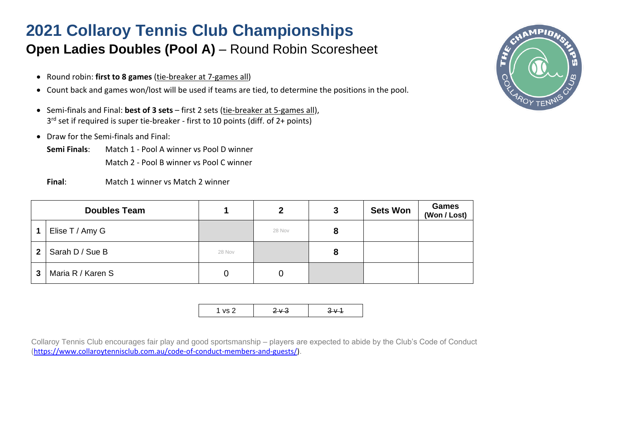### **Open Ladies Doubles (Pool A) – Round Robin Scoresheet**

- Round robin: **first to 8 games** (tie-breaker at 7-games all)
- Count back and games won/lost will be used if teams are tied, to determine the positions in the pool.
- Semi-finals and Final: **best of 3 sets** first 2 sets (tie-breaker at 5-games all), 3 rd set if required is super tie-breaker - first to 10 points (diff. of 2+ points)
- Draw for the Semi-finals and Final:
	- **Semi Finals**: Match 1 Pool A winner vs Pool D winner Match 2 - Pool B winner vs Pool C winner
	- **Final**: Match 1 winner vs Match 2 winner

|   | <b>Doubles Team</b> |        | 2      | 3 | <b>Sets Won</b> | <b>Games</b><br>(Won / Lost) |
|---|---------------------|--------|--------|---|-----------------|------------------------------|
|   | Elise T / Amy G     |        | 28 Nov |   |                 |                              |
| 2 | Sarah D / Sue B     | 28 Nov |        |   |                 |                              |
| 3 | Maria R / Karen S   |        | 0      |   |                 |                              |

|--|

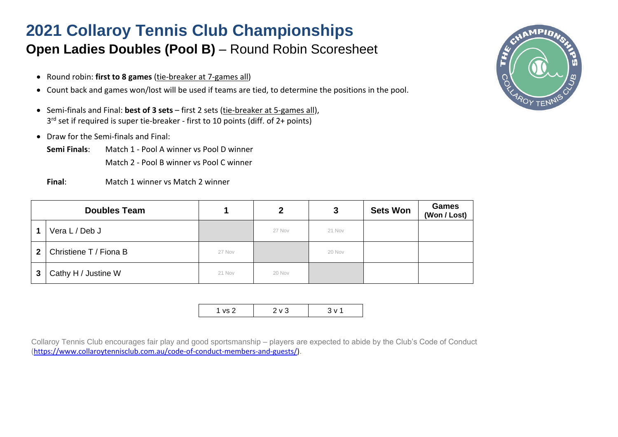#### **Open Ladies Doubles (Pool B)** – Round Robin Scoresheet

- Round robin: **first to 8 games** (tie-breaker at 7-games all)
- Count back and games won/lost will be used if teams are tied, to determine the positions in the pool.
- Semi-finals and Final: **best of 3 sets** first 2 sets (tie-breaker at 5-games all), 3 rd set if required is super tie-breaker - first to 10 points (diff. of 2+ points)
- Draw for the Semi-finals and Final:
	- **Semi Finals**: Match 1 Pool A winner vs Pool D winner Match 2 - Pool B winner vs Pool C winner
	- **Final**: Match 1 winner vs Match 2 winner

|   | <b>Doubles Team</b>    |        | 2      | 3      | <b>Sets Won</b> | <b>Games</b><br>(Won / Lost) |
|---|------------------------|--------|--------|--------|-----------------|------------------------------|
|   | Vera L / Deb J         |        | 27 Nov | 21 Nov |                 |                              |
| 2 | Christiene T / Fiona B | 27 Nov |        | 20 Nov |                 |                              |
| 3 | Cathy H / Justine W    | 21 Nov | 20 Nov |        |                 |                              |

|--|

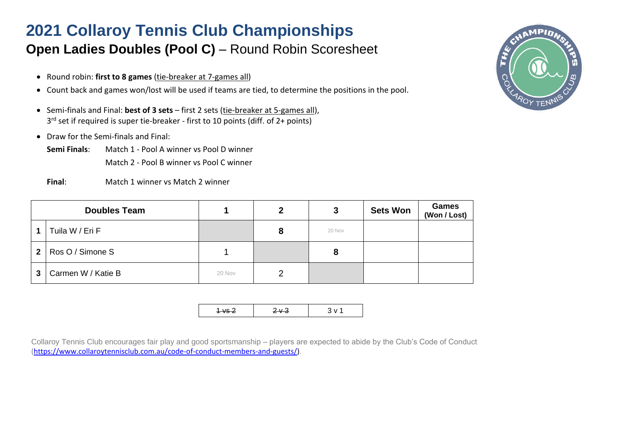### **Open Ladies Doubles (Pool C)** – Round Robin Scoresheet

- Round robin: **first to 8 games** (tie-breaker at 7-games all)
- Count back and games won/lost will be used if teams are tied, to determine the positions in the pool.
- Semi-finals and Final: **best of 3 sets** first 2 sets (tie-breaker at 5-games all), 3 rd set if required is super tie-breaker - first to 10 points (diff. of 2+ points)
- Draw for the Semi-finals and Final:
	- **Semi Finals**: Match 1 Pool A winner vs Pool D winner Match 2 - Pool B winner vs Pool C winner
	- **Final**: Match 1 winner vs Match 2 winner

|                | <b>Doubles Team</b> |        | 2 | 3      | <b>Sets Won</b> | <b>Games</b><br>(Won / Lost) |
|----------------|---------------------|--------|---|--------|-----------------|------------------------------|
|                | Tuila W / Eri F     |        | 8 | 20 Nov |                 |                              |
| $\overline{2}$ | Ros O / Simone S    |        |   |        |                 |                              |
| $\mathbf{3}$   | Carmen W / Katie B  | 20 Nov | 2 |        |                 |                              |

|--|